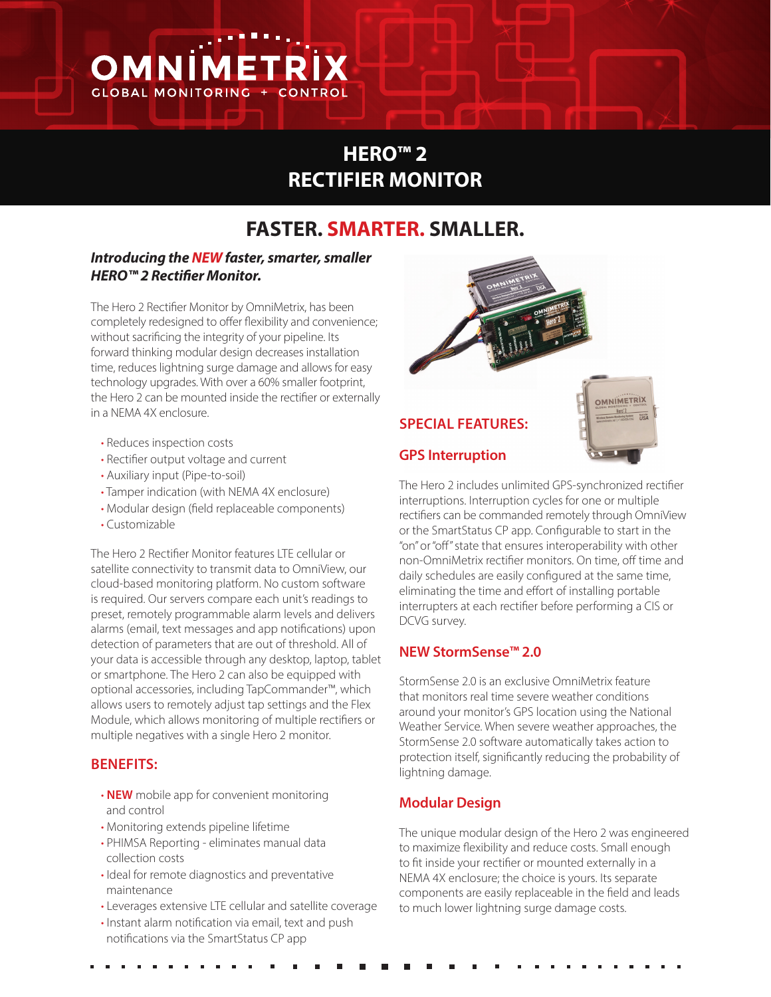

# **HERO™ 2 RECTIFIER MONITOR**

# **FASTER. SMARTER. SMALLER.**

## *Introducing the NEW faster, smarter, smaller HERO™ 2 Rectifier Monitor.*

The Hero 2 Rectifier Monitor by OmniMetrix, has been completely redesigned to offer flexibility and convenience; without sacrificing the integrity of your pipeline. Its forward thinking modular design decreases installation time, reduces lightning surge damage and allows for easy technology upgrades. With over a 60% smaller footprint, the Hero 2 can be mounted inside the rectifier or externally in a NEMA 4X enclosure.

- Reduces inspection costs
- Rectifier output voltage and current
- Auxiliary input (Pipe-to-soil)
- Tamper indication (with NEMA 4X enclosure)
- Modular design (field replaceable components)
- Customizable

The Hero 2 Rectifier Monitor features LTE cellular or satellite connectivity to transmit data to OmniView, our cloud-based monitoring platform. No custom software is required. Our servers compare each unit's readings to preset, remotely programmable alarm levels and delivers alarms (email, text messages and app notifications) upon detection of parameters that are out of threshold. All of your data is accessible through any desktop, laptop, tablet or smartphone. The Hero 2 can also be equipped with optional accessories, including TapCommander™, which allows users to remotely adjust tap settings and the Flex Module, which allows monitoring of multiple rectifiers or multiple negatives with a single Hero 2 monitor.

#### **BENEFITS:**

- **NEW** mobile app for convenient monitoring and control
- Monitoring extends pipeline lifetime
- PHIMSA Reporting eliminates manual data collection costs
- Ideal for remote diagnostics and preventative maintenance
- Leverages extensive LTE cellular and satellite coverage
- Instant alarm notification via email, text and push notifications via the SmartStatus CP app



The Hero 2 includes unlimited GPS-synchronized rectifier interruptions. Interruption cycles for one or multiple rectifiers can be commanded remotely through OmniView or the SmartStatus CP app. Configurable to start in the "on" or "off" state that ensures interoperability with other non-OmniMetrix rectifier monitors. On time, off time and daily schedules are easily configured at the same time, eliminating the time and effort of installing portable interrupters at each rectifier before performing a CIS or DCVG survey.

## **NEW StormSense™ 2.0**

StormSense 2.0 is an exclusive OmniMetrix feature that monitors real time severe weather conditions around your monitor's GPS location using the National Weather Service. When severe weather approaches, the StormSense 2.0 software automatically takes action to protection itself, significantly reducing the probability of lightning damage.

## **Modular Design**

The unique modular design of the Hero 2 was engineered to maximize flexibility and reduce costs. Small enough to fit inside your rectifier or mounted externally in a NEMA 4X enclosure; the choice is yours. Its separate components are easily replaceable in the field and leads to much lower lightning surge damage costs.